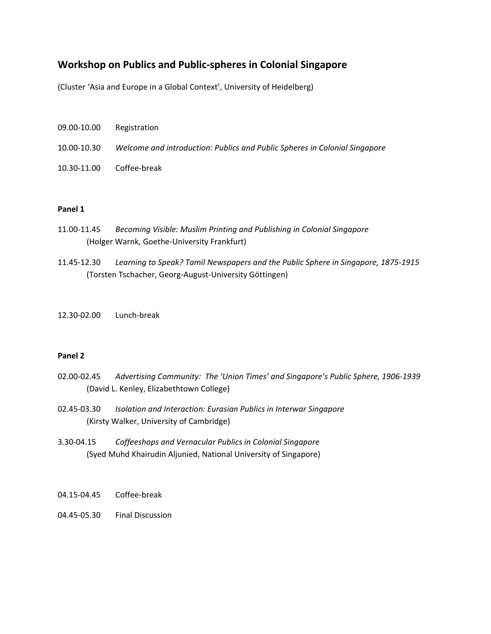### **Workshop on Publics and Public‐spheres in Colonial Singapore**

(Cluster 'Asia and Europe in a Global Context', University of Heidelberg)

- 09.00‐10.00 Registration
- 10.00‐10.30 *Welcome and introduction: Publics and Public Spheres in Colonial Singapore*
- 10.30‐11.00 Coffee‐break

#### **Panel 1**

- 11.00‐11.45 *Becoming Visible: Muslim Printing and Publishing in Colonial Singapore* (Holger Warnk, Goethe‐University Frankfurt)
- 11.45‐12.30 *Learning to Speak? Tamil Newspapers and the Public Sphere in Singapore, 1875‐1915* (Torsten Tschacher, Georg‐August‐University Göttingen)
- 12.30‐02.00 Lunch‐break

#### **Panel 2**

- 02.00‐02.45 *Advertising Community: The 'Union Times' and Singapore's Public Sphere, 1906‐1939* (David L. Kenley, Elizabethtown College)
- 02.45‐03.30 *Isolation and Interaction: Eurasian Publics in Interwar Singapore* (Kirsty Walker, University of Cambridge)
- 3.30‐04.15 *Coffeeshops and Vernacular Publics in Colonial Singapore* (Syed Muhd Khairudin Aljunied, National University of Singapore)
- 04.15‐04.45 Coffee‐break
- 04.45‐05.30 Final Discussion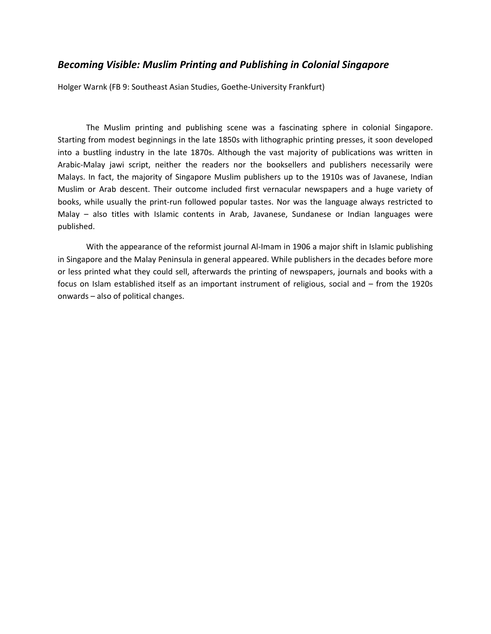### *Becoming Visible: Muslim Printing and Publishing in Colonial Singapore*

Holger Warnk (FB 9: Southeast Asian Studies, Goethe‐University Frankfurt)

The Muslim printing and publishing scene was a fascinating sphere in colonial Singapore. Starting from modest beginnings in the late 1850s with lithographic printing presses, it soon developed into a bustling industry in the late 1870s. Although the vast majority of publications was written in Arabic‐Malay jawi script, neither the readers nor the booksellers and publishers necessarily were Malays. In fact, the majority of Singapore Muslim publishers up to the 1910s was of Javanese, Indian Muslim or Arab descent. Their outcome included first vernacular newspapers and a huge variety of books, while usually the print‐run followed popular tastes. Nor was the language always restricted to Malay – also titles with Islamic contents in Arab, Javanese, Sundanese or Indian languages were published.

With the appearance of the reformist journal Al-Imam in 1906 a major shift in Islamic publishing in Singapore and the Malay Peninsula in general appeared. While publishers in the decades before more or less printed what they could sell, afterwards the printing of newspapers, journals and books with a focus on Islam established itself as an important instrument of religious, social and – from the 1920s onwards – also of political changes.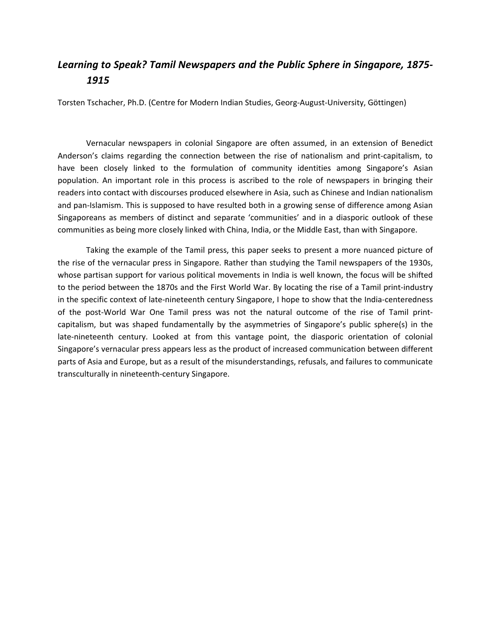## *Learning to Speak? Tamil Newspapers and the Public Sphere in Singapore, 1875‐ 1915*

Torsten Tschacher, Ph.D. (Centre for Modern Indian Studies, Georg‐August‐University, Göttingen)

Vernacular newspapers in colonial Singapore are often assumed, in an extension of Benedict Anderson's claims regarding the connection between the rise of nationalism and print‐capitalism, to have been closely linked to the formulation of community identities among Singapore's Asian population. An important role in this process is ascribed to the role of newspapers in bringing their readers into contact with discourses produced elsewhere in Asia, such as Chinese and Indian nationalism and pan-Islamism. This is supposed to have resulted both in a growing sense of difference among Asian Singaporeans as members of distinct and separate 'communities' and in a diasporic outlook of these communities as being more closely linked with China, India, or the Middle East, than with Singapore.

Taking the example of the Tamil press, this paper seeks to present a more nuanced picture of the rise of the vernacular press in Singapore. Rather than studying the Tamil newspapers of the 1930s, whose partisan support for various political movements in India is well known, the focus will be shifted to the period between the 1870s and the First World War. By locating the rise of a Tamil print-industry in the specific context of late-nineteenth century Singapore, I hope to show that the India-centeredness of the post‐World War One Tamil press was not the natural outcome of the rise of Tamil print‐ capitalism, but was shaped fundamentally by the asymmetries of Singapore's public sphere(s) in the late-nineteenth century. Looked at from this vantage point, the diasporic orientation of colonial Singapore's vernacular press appears less as the product of increased communication between different parts of Asia and Europe, but as a result of the misunderstandings, refusals, and failures to communicate transculturally in nineteenth‐century Singapore.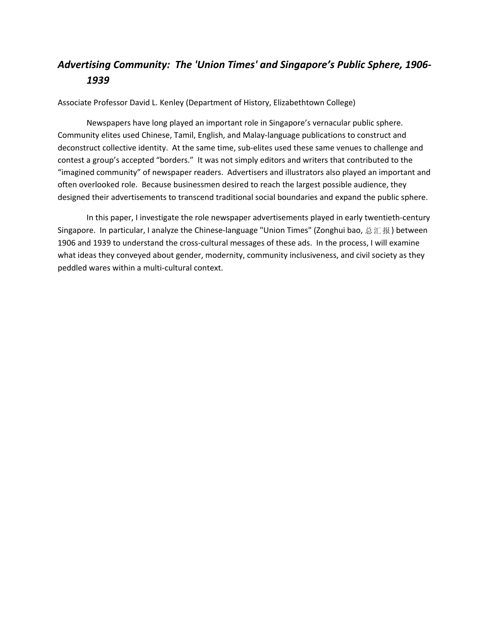# *Advertising Community: The 'Union Times' and Singapore's Public Sphere, 1906‐ 1939*

Associate Professor David L. Kenley (Department of History, Elizabethtown College)

Newspapers have long played an important role in Singapore's vernacular public sphere. Community elites used Chinese, Tamil, English, and Malay‐language publications to construct and deconstruct collective identity. At the same time, sub-elites used these same venues to challenge and contest a group's accepted "borders." It was not simply editors and writers that contributed to the "imagined community" of newspaper readers. Advertisers and illustrators also played an important and often overlooked role. Because businessmen desired to reach the largest possible audience, they designed their advertisements to transcend traditional social boundaries and expand the public sphere.

In this paper, I investigate the role newspaper advertisements played in early twentieth‐century Singapore. In particular, I analyze the Chinese-language "Union Times" (Zonghui bao, 总汇报) between 1906 and 1939 to understand the cross-cultural messages of these ads. In the process, I will examine what ideas they conveyed about gender, modernity, community inclusiveness, and civil society as they peddled wares within a multi‐cultural context.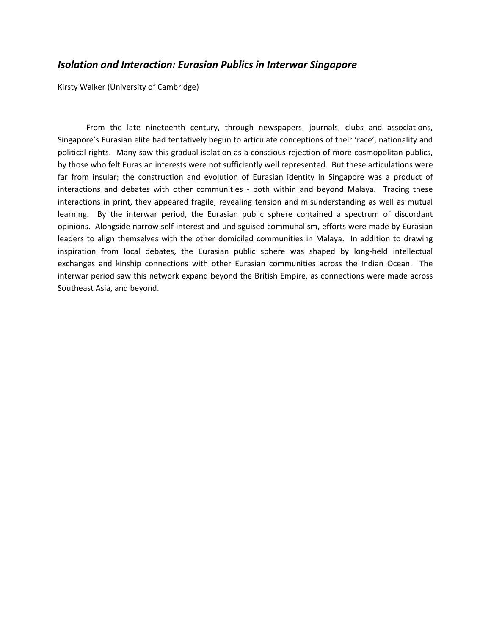#### *Isolation and Interaction: Eurasian Publics in Interwar Singapore*

Kirsty Walker (University of Cambridge)

From the late nineteenth century, through newspapers, journals, clubs and associations, Singapore's Eurasian elite had tentatively begun to articulate conceptions of their 'race', nationality and political rights. Many saw this gradual isolation as a conscious rejection of more cosmopolitan publics, by those who felt Eurasian interests were not sufficiently well represented. But these articulations were far from insular; the construction and evolution of Eurasian identity in Singapore was a product of interactions and debates with other communities - both within and beyond Malaya. Tracing these interactions in print, they appeared fragile, revealing tension and misunderstanding as well as mutual learning. By the interwar period, the Eurasian public sphere contained a spectrum of discordant opinions. Alongside narrow self‐interest and undisguised communalism, efforts were made by Eurasian leaders to align themselves with the other domiciled communities in Malaya. In addition to drawing inspiration from local debates, the Eurasian public sphere was shaped by long-held intellectual exchanges and kinship connections with other Eurasian communities across the Indian Ocean. The interwar period saw this network expand beyond the British Empire, as connections were made across Southeast Asia, and beyond.